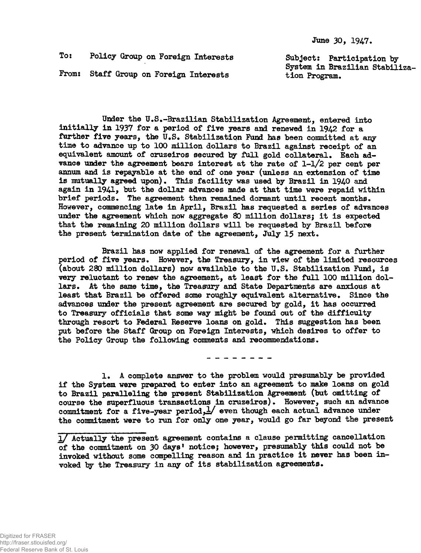June 30, 1947.

To: Policy Group on Foreign Interests Subject: Participation by

From: Staff Group on Foreign Interests tion Program.

System in Brazilian Stabiliza-

Under the U.S.-Brazilian Stabilization Agreement, entered into initially in 1937 for a period of five years and renewed in 1942 for a further five years, the U.S. Stabilization Fund has been committed at any time to advance up to 100 million dollars to Brazil against receipt of an equivalent amount of cruzeiros secured by full gold collateral. Each advance under the agreement bears interest at the rate of  $1-1/2$  per cent per annum and is repayable at the end of one year (unless an extension of time is mutually agreed upon). This facility was used by Brazil in 1940 and again in 1941, but the dollar advances made at that time were repaid within brief periods. The agreement then remained dormant until recent months. However, commencing late in April, Brazil has requested a series of advances under the agreement which now aggregate 80 million dollars; it is expected that the remaining 20 million dollars will be requested by Brazil before the present termination date of the agreement, July 15 next.

Brazil has now applied for renewal of the agreement for a further period of five years. However, the Treasury, in view of the limited resources (about 280 million dollars) now available to the U.S. Stabilization Fund, is very reluctant to renew the agreement, at least for the full 100 million dollars. At the same time, the Treasury and State Departments are anxious at least that Brazil be offered some roughly equivalent alternative. Since the advances under the present agreement are secured by gold, it has occurred to Treasury officials that some way might be found out of the difficulty through resort to Federal Beserve loans on gold. This suggestion has been put before the Staff Group on Foreign Interests, which desires to offer to the Policy Group the following comments and recommendations.

- - - - - - - -

1. A complete answer to the problem would presumably be provided if the System were prepared to enter into an agreement to make loans on gold to Brazil paralleling the present Stabilization Agreement (but omitting of course the superfluous transactions in cruzeiros). However, such an advance commitment for a five-year period,  $\frac{1}{2}$  even though each actual advance under the commitment were to run for only one year, would go far beyond the present

<sup>1/</sup> Actually the present agreement contains a clause permitting cancellation of the commitment on 30 days' notice; however, presumably this could not be invoked without some compelling reason and in practice it never has been invoked by the Treasury in any of its stabilization agreements.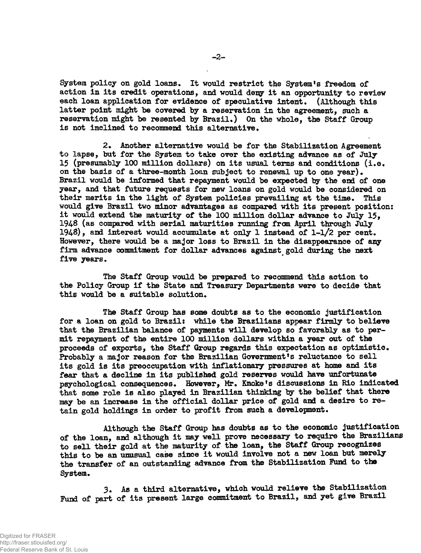System policy on gold loans. It would restrict the System's freedom of action in its credit operations, and would deny it an opportunity to review each loan application for evidence of speculative intent. (Although this latter point might be covered by a reservation in the agreement, such a reservation might be resented by Brazil.) On the whole, the Staff Group is not inclined to recommend this alternative .

2. Another alternative would be for the Stabilization Agreement to lapse, but for the System to take over the existing advance as of July 15 (presumably 100 million dollars) on its usual terms and conditions (i.e. on the basis of a three-month loan subject to renewal up to one year) . Brazil would be informed that repayment would be expected by the end of one year, and that future requests for new loans on gold would be considered on their merits in the light of System policies prevailing at the time. This would give Brazil two minor advantages as compared with its present position: it would extend the maturity of the 100 million dollar advance to July 15, 1948 (as compared with serial maturities running from April through July 1948), and interest would accumulate at only 1 instead of  $1-1/2$  per cent. However, there would be a major loss to Brazil in the disappearance of any firm advance commitment for dollar advances against gold during the next five years.

The Staff Group would be prepared to recommend this action to the Policy Group if the State and Treasury Departments were to decide that this would be a suitable solution.

The Staff Group has some doubts as to the economic justification for a loan on gold to Brazil: while the Brazilians appear firmly to believe that the Brazilian balance of payments will develop so favorably as to permit repayment of the entire 100 million dollars within a year out of the proceeds of exports, the Staff Group regards this expectation as optimistic. Probably a major reason for the Brazilian Government's reluctance to sell its gold is its preoccupation with inflationary pressures at home and its fear that a decline in its published gold reserves would have unfortunate psychological consequences. However, Mr. Knoke's discussions in Rio indicated that some role is also played in Brazilian thinking by the belief that there may be an increase in the official dollar price of gold and a desire to retain gold holdings in order to profit from such a development.

Although the Staff Group has doubts as to the economic justification of the loan, and although it may well prove necessary to require the Brazilians to sell their gold at the maturity of the loan, the Staff Group recognizes this to be an unusual case since it would involve not a new loan but merely the transfer of an outstanding advance from the Stabilization Fund to ths System.

3. As a third alternative, which would relieve the Stabilization Fund of part of its present large commitment to Brazil, and yet give Brazil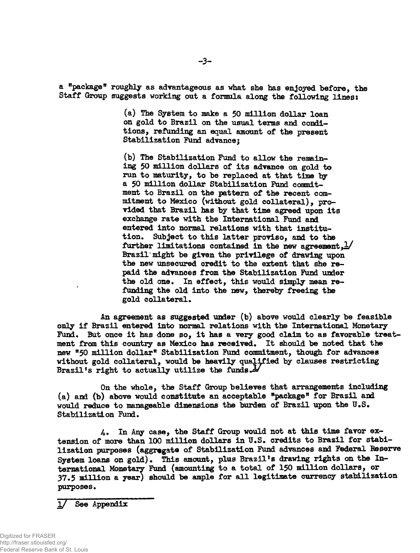**a "package" roughly as advantageous as what she has enjoyed before, the Staff Group suggests working out a fonnula along the following lines:**

> **(a) The System to make a 50 million dollar loan on gold to Brazil on the usual terms and conditions, refunding an equal amount of the present Stabilization Fund advance;**

**(b) The Stabilization Fund to allow the remaining 50 million dollars of its advance on gold to run to maturity, to be replaced at that time by a 50 mill ion dollar Stabilization Fund commitment to Brazil on the pattern of the recent commitment to Mexico (without gold collateral), provided that Brazil has by that time agreed upon its exchange rate with the International Fund and entered into normal relations with that institution. Subject to this latter proviso, and to the further limitations contained in the new agreement ,2/ Brazil"might be given the privilege of drawing upon the new unsecured credit to the extent that she repaid the advances from the Stabilization Fund under** the old one. In effect, this would simply mean re**funding the old into the new, thereby freeing the gold collateral.**

**An agreement as suggested under (b) above would clearly be feasible only if Brazil entered into normal relations with the International Monetary Fund. But once it has done so, it has a very good claim to as favorable treatment from this country as Mexico has received. It should be noted that the new "50 million dollar" Stabilization Fund commitment, though for advances without gold collateral, would be heavily qualified by clauses restricting Brazil \*s right to actually utilize the funds J\***

**On the whole, the Staff Group believes that arrangements including (a) and (b) above would constitute an acceptable "package" for Brazil and** would reduce to manageable dimensions the burden of Brazil upon the U.S. **Stabilization Fund.**

**4. In Any case, the Staff Group would not at this time favor extension of more than 100 million dollars in U.S. credits to Brazil for stabilization purposes (aggregate of Stabilization Fund advances and Federal Beserve** System loans on gold). This amount, plus Brazil's drawing rights on the In**ternational Monetary Fund (amounting to a total of 150 million dollars, or 37.5 million a year) should be ample for all legitimate currency stabilization purposes.**

See Appendix